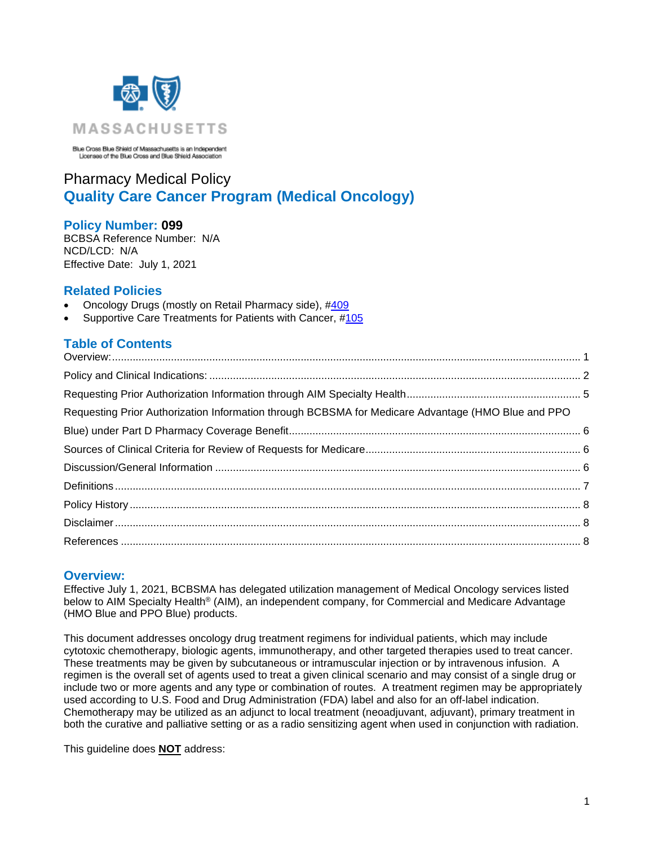

Blue Cross Blue Shield of Massachusetts is an Independent<br>Licensee of the Blue Cross and Blue Shield Association

# Pharmacy Medical Policy **Quality Care Cancer Program (Medical Oncology)**

#### **Policy Number: 099**

BCBSA Reference Number: N/A NCD/LCD: N/A Effective Date: July 1, 2021

## **Related Policies**

- Oncology Drugs (mostly on Retail Pharmacy side), [#409](http://www.bluecrossma.com/common/en_US/medical_policies/409%20Oncology%20Drugs%20prn.pdf)
- Supportive Care Treatments for Patients with Cancer, [#105](https://www.bluecrossma.org/medical-policies/sites/g/files/csphws2091/files/acquiadam-assets/105%20Supportive%20Care%20Treatments%20for%20Patients%20with%20Cancer.pdf)

# **Table of Contents**

| Requesting Prior Authorization Information through BCBSMA for Medicare Advantage (HMO Blue and PPO |  |
|----------------------------------------------------------------------------------------------------|--|
|                                                                                                    |  |
|                                                                                                    |  |
|                                                                                                    |  |
|                                                                                                    |  |
|                                                                                                    |  |
|                                                                                                    |  |
|                                                                                                    |  |

#### <span id="page-0-0"></span>**Overview:**

Effective July 1, 2021, BCBSMA has delegated utilization management of Medical Oncology services listed below to AIM Specialty Health® (AIM), an independent company, for Commercial and Medicare Advantage (HMO Blue and PPO Blue) products.

This document addresses oncology drug treatment regimens for individual patients, which may include cytotoxic chemotherapy, biologic agents, immunotherapy, and other targeted therapies used to treat cancer. These treatments may be given by subcutaneous or intramuscular injection or by intravenous infusion. A regimen is the overall set of agents used to treat a given clinical scenario and may consist of a single drug or include two or more agents and any type or combination of routes. A treatment regimen may be appropriately used according to U.S. Food and Drug Administration (FDA) label and also for an off-label indication. Chemotherapy may be utilized as an adjunct to local treatment (neoadjuvant, adjuvant), primary treatment in both the curative and palliative setting or as a radio sensitizing agent when used in conjunction with radiation.

This guideline does **NOT** address: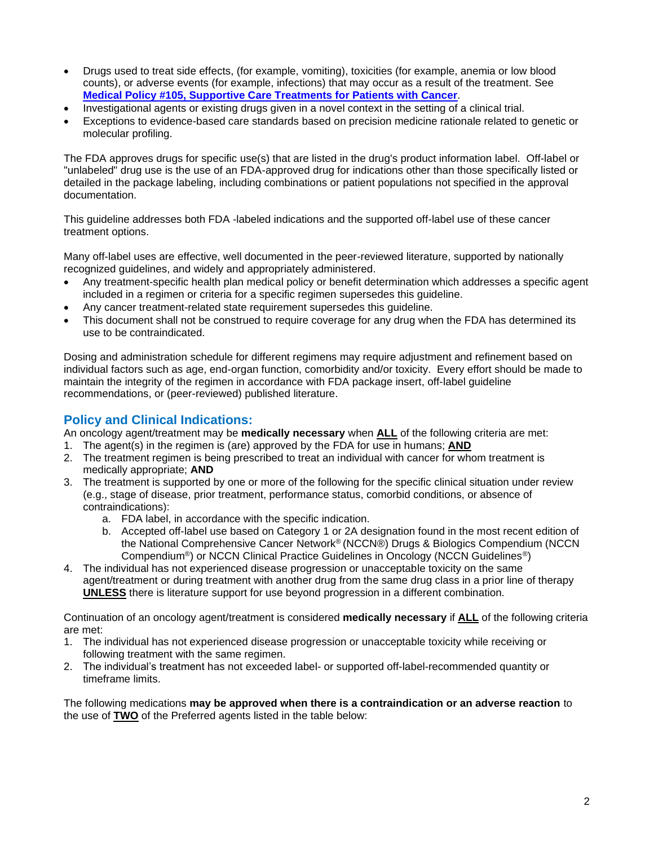- Drugs used to treat side effects, (for example, vomiting), toxicities (for example, anemia or low blood counts), or adverse events (for example, infections) that may occur as a result of the treatment. See **[Medical Policy #105, Supportive Care Treatments for Patients with Cancer](https://www.bluecrossma.org/medical-policies/sites/g/files/csphws2091/files/acquiadam-assets/105%20Supportive%20Care%20Treatments%20for%20Patients%20with%20Cancer.pdf)**.
- Investigational agents or existing drugs given in a novel context in the setting of a clinical trial.
- Exceptions to evidence-based care standards based on precision medicine rationale related to genetic or molecular profiling.

The FDA approves drugs for specific use(s) that are listed in the drug's product information label. Off-label or "unlabeled" drug use is the use of an FDA-approved drug for indications other than those specifically listed or detailed in the package labeling, including combinations or patient populations not specified in the approval documentation.

This guideline addresses both FDA -labeled indications and the supported off-label use of these cancer treatment options.

Many off-label uses are effective, well documented in the peer-reviewed literature, supported by nationally recognized guidelines, and widely and appropriately administered.

- Any treatment-specific health plan medical policy or benefit determination which addresses a specific agent included in a regimen or criteria for a specific regimen supersedes this guideline.
- Any cancer treatment-related state requirement supersedes this guideline.
- This document shall not be construed to require coverage for any drug when the FDA has determined its use to be contraindicated.

Dosing and administration schedule for different regimens may require adjustment and refinement based on individual factors such as age, end-organ function, comorbidity and/or toxicity. Every effort should be made to maintain the integrity of the regimen in accordance with FDA package insert, off-label guideline recommendations, or (peer-reviewed) published literature.

## <span id="page-1-0"></span>**Policy and Clinical Indications:**

An oncology agent/treatment may be **medically necessary** when **ALL** of the following criteria are met:

- 1. The agent(s) in the regimen is (are) approved by the FDA for use in humans; **AND**
- 2. The treatment regimen is being prescribed to treat an individual with cancer for whom treatment is medically appropriate; **AND**
- 3. The treatment is supported by one or more of the following for the specific clinical situation under review (e.g., stage of disease, prior treatment, performance status, comorbid conditions, or absence of contraindications):
	- a. FDA label, in accordance with the specific indication.
	- b. Accepted off-label use based on Category 1 or 2A designation found in the most recent edition of the National Comprehensive Cancer Network® (NCCN®) Drugs & Biologics Compendium (NCCN Compendium®) or NCCN Clinical Practice Guidelines in Oncology (NCCN Guidelines®)
- 4. The individual has not experienced disease progression or unacceptable toxicity on the same agent/treatment or during treatment with another drug from the same drug class in a prior line of therapy **UNLESS** there is literature support for use beyond progression in a different combination.

Continuation of an oncology agent/treatment is considered **medically necessary** if **ALL** of the following criteria are met:

- 1. The individual has not experienced disease progression or unacceptable toxicity while receiving or following treatment with the same regimen.
- 2. The individual's treatment has not exceeded label- or supported off-label-recommended quantity or timeframe limits.

The following medications **may be approved when there is a contraindication or an adverse reaction** to the use of **TWO** of the Preferred agents listed in the table below: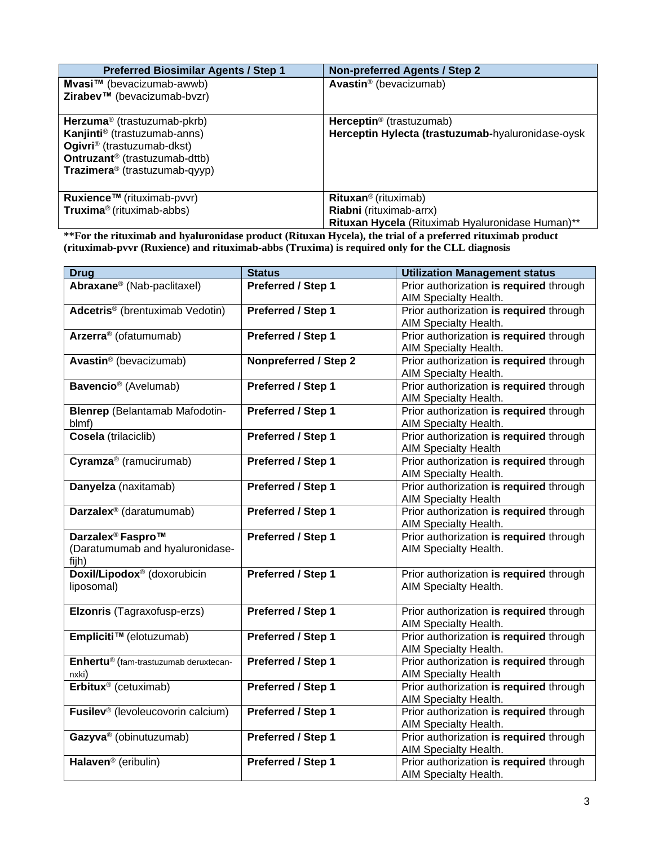| <b>Preferred Biosimilar Agents / Step 1</b>                                                                                                                                                                             | <b>Non-preferred Agents / Step 2</b>                                                      |
|-------------------------------------------------------------------------------------------------------------------------------------------------------------------------------------------------------------------------|-------------------------------------------------------------------------------------------|
| Mvasi™ (bevacizumab-awwb)                                                                                                                                                                                               | Avastin <sup>®</sup> (bevacizumab)                                                        |
| Zirabev™ (bevacizumab-bvzr)                                                                                                                                                                                             |                                                                                           |
| Herzuma <sup>®</sup> (trastuzumab-pkrb)<br>Kanjinti <sup>®</sup> (trastuzumab-anns)<br>Ogivri <sup>®</sup> (trastuzumab-dkst)<br>Ontruzant <sup>®</sup> (trastuzumab-dttb)<br>Trazimera <sup>®</sup> (trastuzumab-qyyp) | Herceptin <sup>®</sup> (trastuzumab)<br>Herceptin Hylecta (trastuzumab-hyaluronidase-oysk |
| Ruxience™ (rituximab-pvvr)<br>Truxima <sup>®</sup> (rituximab-abbs)                                                                                                                                                     | Rituxan <sup>®</sup> (rituximab)<br>Riabni (rituximab-arrx)                               |
|                                                                                                                                                                                                                         | Rituxan Hycela (Rituximab Hyaluronidase Human)**                                          |

**\*\*For the rituximab and hyaluronidase product (Rituxan Hycela), the trial of a preferred rituximab product (rituximab-pvvr (Ruxience) and rituximab-abbs (Truxima) is required only for the CLL diagnosis**

| <b>Drug</b>                                   | <b>Status</b>         | <b>Utilization Management status</b>    |
|-----------------------------------------------|-----------------------|-----------------------------------------|
| Abraxane® (Nab-paclitaxel)                    | Preferred / Step 1    | Prior authorization is required through |
|                                               |                       | AIM Specialty Health.                   |
| Adcetris <sup>®</sup> (brentuximab Vedotin)   | Preferred / Step 1    | Prior authorization is required through |
|                                               |                       | AIM Specialty Health.                   |
| Arzerra <sup>®</sup> (ofatumumab)             | Preferred / Step 1    | Prior authorization is required through |
|                                               |                       | AIM Specialty Health.                   |
| Avastin® (bevacizumab)                        | Nonpreferred / Step 2 | Prior authorization is required through |
|                                               |                       | AIM Specialty Health.                   |
| Bavencio <sup>®</sup> (Avelumab)              | Preferred / Step 1    | Prior authorization is required through |
|                                               |                       | AIM Specialty Health.                   |
| Blenrep (Belantamab Mafodotin-                | Preferred / Step 1    | Prior authorization is required through |
| blmf)                                         |                       | AIM Specialty Health.                   |
| Cosela (trilaciclib)                          | Preferred / Step 1    | Prior authorization is required through |
|                                               |                       | <b>AIM Specialty Health</b>             |
| Cyramza <sup>®</sup> (ramucirumab)            | Preferred / Step 1    | Prior authorization is required through |
|                                               |                       | AIM Specialty Health.                   |
| Danyelza (naxitamab)                          | Preferred / Step 1    | Prior authorization is required through |
|                                               |                       | <b>AIM Specialty Health</b>             |
| Darzalex <sup>®</sup> (daratumumab)           | Preferred / Step 1    | Prior authorization is required through |
|                                               |                       | AIM Specialty Health.                   |
| Darzalex <sup>®</sup> Faspro <sup>™</sup>     | Preferred / Step 1    | Prior authorization is required through |
| (Daratumumab and hyaluronidase-               |                       | AIM Specialty Health.                   |
| fijh)                                         |                       |                                         |
| Doxil/Lipodox <sup>®</sup> (doxorubicin       | Preferred / Step 1    | Prior authorization is required through |
| liposomal)                                    |                       | AIM Specialty Health.                   |
|                                               |                       |                                         |
| Elzonris (Tagraxofusp-erzs)                   | Preferred / Step 1    | Prior authorization is required through |
|                                               |                       | AIM Specialty Health.                   |
| Empliciti™ (elotuzumab)                       | Preferred / Step 1    | Prior authorization is required through |
|                                               |                       | AIM Specialty Health.                   |
| Enhertu® (fam-trastuzumab deruxtecan-         | Preferred / Step 1    | Prior authorization is required through |
| nxki)                                         |                       | <b>AIM Specialty Health</b>             |
| Erbitux <sup>®</sup> (cetuximab)              | Preferred / Step 1    | Prior authorization is required through |
|                                               |                       | AIM Specialty Health.                   |
| Fusilev <sup>®</sup> (levoleucovorin calcium) | Preferred / Step 1    | Prior authorization is required through |
|                                               |                       | AIM Specialty Health.                   |
| Gazyva <sup>®</sup> (obinutuzumab)            | Preferred / Step 1    | Prior authorization is required through |
|                                               |                       | AIM Specialty Health.                   |
| Halaven <sup>®</sup> (eribulin)               | Preferred / Step 1    | Prior authorization is required through |
|                                               |                       | AIM Specialty Health.                   |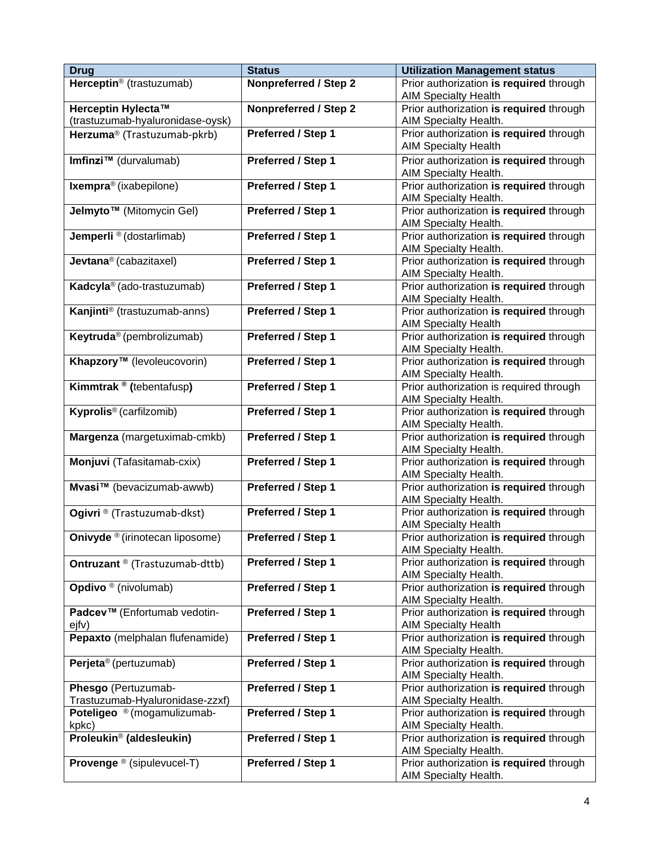| <b>Drug</b>                             | <b>Status</b>         | <b>Utilization Management status</b>                             |
|-----------------------------------------|-----------------------|------------------------------------------------------------------|
| Herceptin <sup>®</sup> (trastuzumab)    | Nonpreferred / Step 2 | Prior authorization is required through                          |
|                                         |                       | <b>AIM Specialty Health</b>                                      |
| Herceptin Hylecta™                      | Nonpreferred / Step 2 | Prior authorization is required through                          |
| (trastuzumab-hyaluronidase-oysk)        |                       | AIM Specialty Health.                                            |
| Herzuma <sup>®</sup> (Trastuzumab-pkrb) | Preferred / Step 1    | Prior authorization is required through                          |
|                                         |                       | <b>AIM Specialty Health</b>                                      |
| Imfinzi <sup>™</sup> (durvalumab)       | Preferred / Step 1    | Prior authorization is required through                          |
| Ixempra <sup>®</sup> (ixabepilone)      | Preferred / Step 1    | AIM Specialty Health.<br>Prior authorization is required through |
|                                         |                       | AIM Specialty Health.                                            |
| Jelmyto <sup>™</sup> (Mitomycin Gel)    | Preferred / Step 1    | Prior authorization is required through                          |
|                                         |                       | AIM Specialty Health.                                            |
| Jemperli <sup>®</sup> (dostarlimab)     | Preferred / Step 1    | Prior authorization is required through                          |
|                                         |                       | AIM Specialty Health.                                            |
| Jevtana® (cabazitaxel)                  | Preferred / Step 1    | Prior authorization is required through                          |
|                                         |                       | AIM Specialty Health.                                            |
| Kadcyla® (ado-trastuzumab)              | Preferred / Step 1    | Prior authorization is required through                          |
| Kanjinti® (trastuzumab-anns)            | Preferred / Step 1    | AIM Specialty Health.<br>Prior authorization is required through |
|                                         |                       | <b>AIM Specialty Health</b>                                      |
| Keytruda <sup>®</sup> (pembrolizumab)   | Preferred / Step 1    | Prior authorization is required through                          |
|                                         |                       | AIM Specialty Health.                                            |
| Khapzory <sup>™</sup> (levoleucovorin)  | Preferred / Step 1    | Prior authorization is required through                          |
|                                         |                       | AIM Specialty Health.                                            |
| Kimmtrak ® (tebentafusp)                | Preferred / Step 1    | Prior authorization is required through                          |
|                                         |                       | AIM Specialty Health.                                            |
| Kyprolis <sup>®</sup> (carfilzomib)     | Preferred / Step 1    | Prior authorization is required through                          |
|                                         |                       | AIM Specialty Health.                                            |
| Margenza (margetuximab-cmkb)            | Preferred / Step 1    | Prior authorization is required through<br>AIM Specialty Health. |
| Monjuvi (Tafasitamab-cxix)              | Preferred / Step 1    | Prior authorization is required through                          |
|                                         |                       | AIM Specialty Health.                                            |
| Mvasi™ (bevacizumab-awwb)               | Preferred / Step 1    | Prior authorization is required through                          |
|                                         |                       | AIM Specialty Health.                                            |
| Ogivri ® (Trastuzumab-dkst)             | Preferred / Step 1    | Prior authorization is required through                          |
|                                         |                       | <b>AIM Specialty Health</b>                                      |
| Onivyde ® (irinotecan liposome)         | Preferred / Step 1    | Prior authorization is required through                          |
|                                         | Preferred / Step 1    | AIM Specialty Health.<br>Prior authorization is required through |
| <b>Ontruzant ®</b> (Trastuzumab-dttb)   |                       | AIM Specialty Health.                                            |
| <b>Opdivo</b> ® (nivolumab)             | Preferred / Step 1    | Prior authorization is required through                          |
|                                         |                       | AIM Specialty Health.                                            |
| Padcev™ (Enfortumab vedotin-            | Preferred / Step 1    | Prior authorization is required through                          |
| ejfv)                                   |                       | <b>AIM Specialty Health</b>                                      |
| Pepaxto (melphalan flufenamide)         | Preferred / Step 1    | Prior authorization is required through                          |
|                                         |                       | AIM Specialty Health.                                            |
| Perjeta <sup>®</sup> (pertuzumab)       | Preferred / Step 1    | Prior authorization is required through                          |
| Phesgo (Pertuzumab-                     | Preferred / Step 1    | AIM Specialty Health.<br>Prior authorization is required through |
| Trastuzumab-Hyaluronidase-zzxf)         |                       | AIM Specialty Health.                                            |
| Poteligeo ® (mogamulizumab-             | Preferred / Step 1    | Prior authorization is required through                          |
| kpkc)                                   |                       | AIM Specialty Health.                                            |
| Proleukin® (aldesleukin)                | Preferred / Step 1    | Prior authorization is required through                          |
|                                         |                       | AIM Specialty Health.                                            |
| <b>Provenge</b> ® (sipulevucel-T)       | Preferred / Step 1    | Prior authorization is required through                          |
|                                         |                       | AIM Specialty Health.                                            |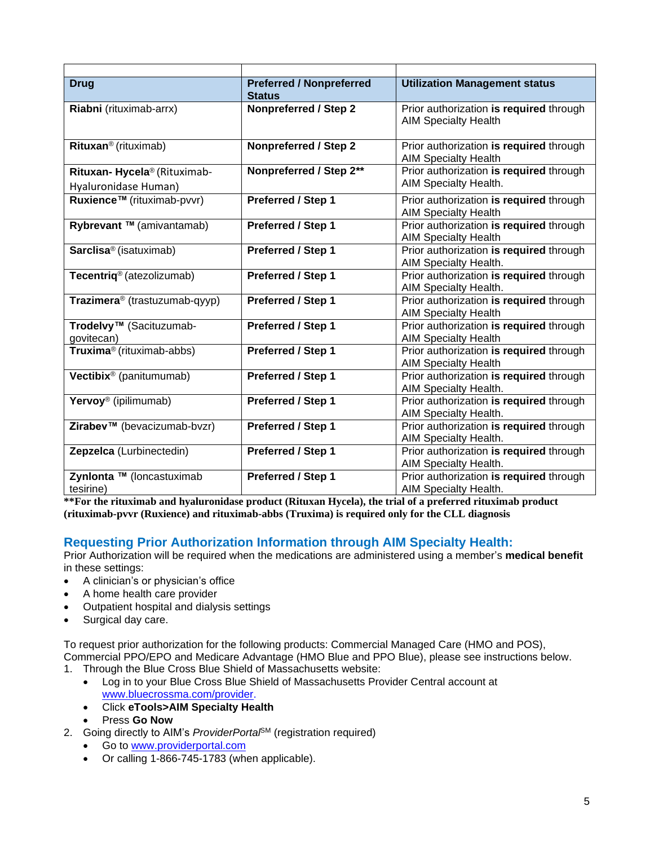| Drug                                                 | <b>Preferred / Nonpreferred</b><br><b>Status</b> | <b>Utilization Management status</b>                                   |
|------------------------------------------------------|--------------------------------------------------|------------------------------------------------------------------------|
| Riabni (rituximab-arrx)                              | Nonpreferred / Step 2                            | Prior authorization is required through<br><b>AIM Specialty Health</b> |
| Rituxan <sup>®</sup> (rituximab)                     | Nonpreferred / Step 2                            | Prior authorization is required through<br><b>AIM Specialty Health</b> |
| Rituxan- Hycela® (Rituximab-<br>Hyaluronidase Human) | Nonpreferred / Step 2**                          | Prior authorization is required through<br>AIM Specialty Health.       |
| Ruxience™ (rituximab-pvvr)                           | Preferred / Step 1                               | Prior authorization is required through<br><b>AIM Specialty Health</b> |
| Rybrevant ™ (amivantamab)                            | Preferred / Step 1                               | Prior authorization is required through<br><b>AIM Specialty Health</b> |
| Sarclisa <sup>®</sup> (isatuximab)                   | Preferred / Step 1                               | Prior authorization is required through<br>AIM Specialty Health.       |
| Tecentriq <sup>®</sup> (atezolizumab)                | Preferred / Step 1                               | Prior authorization is required through<br>AIM Specialty Health.       |
| Trazimera <sup>®</sup> (trastuzumab-qyyp)            | Preferred / Step 1                               | Prior authorization is required through<br><b>AIM Specialty Health</b> |
| Trodelvy <sup>™</sup> (Sacituzumab-<br>govitecan)    | Preferred / Step 1                               | Prior authorization is required through<br><b>AIM Specialty Health</b> |
| Truxima <sup>®</sup> (rituximab-abbs)                | Preferred / Step 1                               | Prior authorization is required through<br><b>AIM Specialty Health</b> |
| Vectibix <sup>®</sup> (panitumumab)                  | Preferred / Step 1                               | Prior authorization is required through<br>AIM Specialty Health.       |
| Yervoy <sup>®</sup> (ipilimumab)                     | Preferred / Step 1                               | Prior authorization is required through<br>AIM Specialty Health.       |
| Zirabev™ (bevacizumab-bvzr)                          | Preferred / Step 1                               | Prior authorization is required through<br>AIM Specialty Health.       |
| Zepzelca (Lurbinectedin)                             | Preferred / Step 1                               | Prior authorization is required through<br>AIM Specialty Health.       |
| Zynlonta ™ (loncastuximab<br>tesirine)               | Preferred / Step 1                               | Prior authorization is required through<br>AIM Specialty Health.       |

**\*\*For the rituximab and hyaluronidase product (Rituxan Hycela), the trial of a preferred rituximab product (rituximab-pvvr (Ruxience) and rituximab-abbs (Truxima) is required only for the CLL diagnosis**

# <span id="page-4-0"></span>**Requesting Prior Authorization Information through AIM Specialty Health:**

Prior Authorization will be required when the medications are administered using a member's **medical benefit**  in these settings:

- A clinician's or physician's office
- A home health care provider
- Outpatient hospital and dialysis settings
- Surgical day care.

To request prior authorization for the following products: Commercial Managed Care (HMO and POS), Commercial PPO/EPO and Medicare Advantage (HMO Blue and PPO Blue), please see instructions below.

- 1. Through the Blue Cross Blue Shield of Massachusetts website:
	- Log in to your Blue Cross Blue Shield of Massachusetts Provider Central account at [www.bluecrossma.com/provider.](file:///C:/Users/plakin01/AppData/Local/Microsoft/Windows/INetCache/plakin01/AppData/Local/Microsoft/Windows/INetCache/Content.Outlook/AppData/Local/Microsoft/Windows/Temporary%20Internet%20Files/bbaker01/AppData/Local/Microsoft/Windows/Temporary%20Internet%20Files/Content.Outlook/9HFCA5DE/www.bluecrossma.com/provider)
	- Click **eTools>AIM Specialty Health**
	- Press **Go Now**
- 2. Going directly to AIM's *ProviderPorta*<sup>6M</sup> (registration required)
	- Go to [www.providerportal.com](http://www.providerportal.com/)
	- Or calling 1-866-745-1783 (when applicable).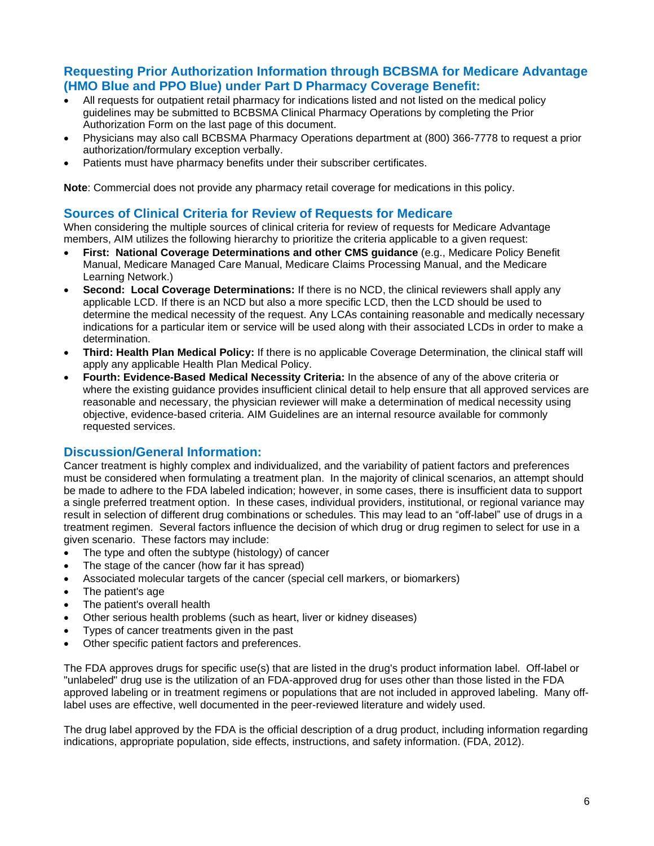#### <span id="page-5-0"></span>**Requesting Prior Authorization Information through BCBSMA for Medicare Advantage (HMO Blue and PPO Blue) under Part D Pharmacy Coverage Benefit:**

- All requests for outpatient retail pharmacy for indications listed and not listed on the medical policy guidelines may be submitted to BCBSMA Clinical Pharmacy Operations by completing the Prior Authorization Form on the last page of this document.
- Physicians may also call BCBSMA Pharmacy Operations department at (800) 366-7778 to request a prior authorization/formulary exception verbally.
- Patients must have pharmacy benefits under their subscriber certificates.

**Note**: Commercial does not provide any pharmacy retail coverage for medications in this policy.

#### <span id="page-5-1"></span>**Sources of Clinical Criteria for Review of Requests for Medicare**

When considering the multiple sources of clinical criteria for review of requests for Medicare Advantage members, AIM utilizes the following hierarchy to prioritize the criteria applicable to a given request:

- **First: National Coverage Determinations and other CMS guidance** (e.g., Medicare Policy Benefit Manual, Medicare Managed Care Manual, Medicare Claims Processing Manual, and the Medicare Learning Network.)
- **Second: Local Coverage Determinations:** If there is no NCD, the clinical reviewers shall apply any applicable LCD. If there is an NCD but also a more specific LCD, then the LCD should be used to determine the medical necessity of the request. Any LCAs containing reasonable and medically necessary indications for a particular item or service will be used along with their associated LCDs in order to make a determination.
- **Third: Health Plan Medical Policy:** If there is no applicable Coverage Determination, the clinical staff will apply any applicable Health Plan Medical Policy.
- **Fourth: Evidence-Based Medical Necessity Criteria:** In the absence of any of the above criteria or where the existing guidance provides insufficient clinical detail to help ensure that all approved services are reasonable and necessary, the physician reviewer will make a determination of medical necessity using objective, evidence-based criteria. AIM Guidelines are an internal resource available for commonly requested services.

#### <span id="page-5-2"></span>**Discussion/General Information:**

Cancer treatment is highly complex and individualized, and the variability of patient factors and preferences must be considered when formulating a treatment plan. In the majority of clinical scenarios, an attempt should be made to adhere to the FDA labeled indication; however, in some cases, there is insufficient data to support a single preferred treatment option. In these cases, individual providers, institutional, or regional variance may result in selection of different drug combinations or schedules. This may lead to an "off-label" use of drugs in a treatment regimen. Several factors influence the decision of which drug or drug regimen to select for use in a given scenario. These factors may include:

- The type and often the subtype (histology) of cancer
- The stage of the cancer (how far it has spread)
- Associated molecular targets of the cancer (special cell markers, or biomarkers)
- The patient's age
- The patient's overall health
- Other serious health problems (such as heart, liver or kidney diseases)
- Types of cancer treatments given in the past
- Other specific patient factors and preferences.

The FDA approves drugs for specific use(s) that are listed in the drug's product information label. Off-label or "unlabeled" drug use is the utilization of an FDA-approved drug for uses other than those listed in the FDA approved labeling or in treatment regimens or populations that are not included in approved labeling. Many offlabel uses are effective, well documented in the peer-reviewed literature and widely used.

The drug label approved by the FDA is the official description of a drug product, including information regarding indications, appropriate population, side effects, instructions, and safety information. (FDA, 2012).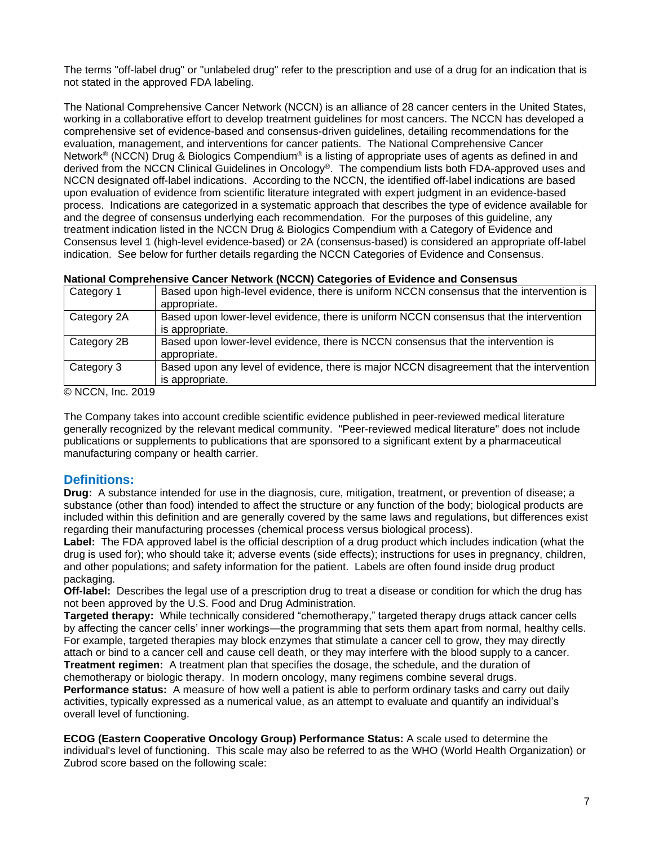The terms "off-label drug" or "unlabeled drug" refer to the prescription and use of a drug for an indication that is not stated in the approved FDA labeling.

The National Comprehensive Cancer Network (NCCN) is an alliance of 28 cancer centers in the United States, working in a collaborative effort to develop treatment guidelines for most cancers. The NCCN has developed a comprehensive set of evidence-based and consensus-driven guidelines, detailing recommendations for the evaluation, management, and interventions for cancer patients. The National Comprehensive Cancer Network® (NCCN) Drug & Biologics Compendium® is a listing of appropriate uses of agents as defined in and derived from the NCCN Clinical Guidelines in Oncology®. The compendium lists both FDA-approved uses and NCCN designated off-label indications. According to the NCCN, the identified off-label indications are based upon evaluation of evidence from scientific literature integrated with expert judgment in an evidence-based process. Indications are categorized in a systematic approach that describes the type of evidence available for and the degree of consensus underlying each recommendation. For the purposes of this guideline, any treatment indication listed in the NCCN Drug & Biologics Compendium with a Category of Evidence and Consensus level 1 (high-level evidence-based) or 2A (consensus-based) is considered an appropriate off-label indication. See below for further details regarding the NCCN Categories of Evidence and Consensus.

| National Comprehensive Cancer Network (NCCN) Categories of Evidence and Consensus |  |  |
|-----------------------------------------------------------------------------------|--|--|
|-----------------------------------------------------------------------------------|--|--|

| Category 1  | Based upon high-level evidence, there is uniform NCCN consensus that the intervention is<br>appropriate.    |
|-------------|-------------------------------------------------------------------------------------------------------------|
| Category 2A | Based upon lower-level evidence, there is uniform NCCN consensus that the intervention<br>is appropriate.   |
| Category 2B | Based upon lower-level evidence, there is NCCN consensus that the intervention is<br>appropriate.           |
| Category 3  | Based upon any level of evidence, there is major NCCN disagreement that the intervention<br>is appropriate. |

© NCCN, Inc. 2019

The Company takes into account credible scientific evidence published in peer-reviewed medical literature generally recognized by the relevant medical community. "Peer-reviewed medical literature" does not include publications or supplements to publications that are sponsored to a significant extent by a pharmaceutical manufacturing company or health carrier.

## <span id="page-6-0"></span>**Definitions:**

**Drug:** A substance intended for use in the diagnosis, cure, mitigation, treatment, or prevention of disease; a substance (other than food) intended to affect the structure or any function of the body; biological products are included within this definition and are generally covered by the same laws and regulations, but differences exist regarding their manufacturing processes (chemical process versus biological process).

**Label:** The FDA approved label is the official description of a drug product which includes indication (what the drug is used for); who should take it; adverse events (side effects); instructions for uses in pregnancy, children, and other populations; and safety information for the patient. Labels are often found inside drug product packaging.

**Off-label:** Describes the legal use of a prescription drug to treat a disease or condition for which the drug has not been approved by the U.S. Food and Drug Administration.

**Targeted therapy:** While technically considered "chemotherapy," targeted therapy drugs attack cancer cells by affecting the cancer cells' inner workings—the programming that sets them apart from normal, healthy cells. For example, targeted therapies may block enzymes that stimulate a cancer cell to grow, they may directly attach or bind to a cancer cell and cause cell death, or they may interfere with the blood supply to a cancer. **Treatment regimen:** A treatment plan that specifies the dosage, the schedule, and the duration of

chemotherapy or biologic therapy. In modern oncology, many regimens combine several drugs.

**Performance status:** A measure of how well a patient is able to perform ordinary tasks and carry out daily activities, typically expressed as a numerical value, as an attempt to evaluate and quantify an individual's overall level of functioning.

**ECOG (Eastern Cooperative Oncology Group) Performance Status:** A scale used to determine the individual's level of functioning. This scale may also be referred to as the WHO (World Health Organization) or Zubrod score based on the following scale: